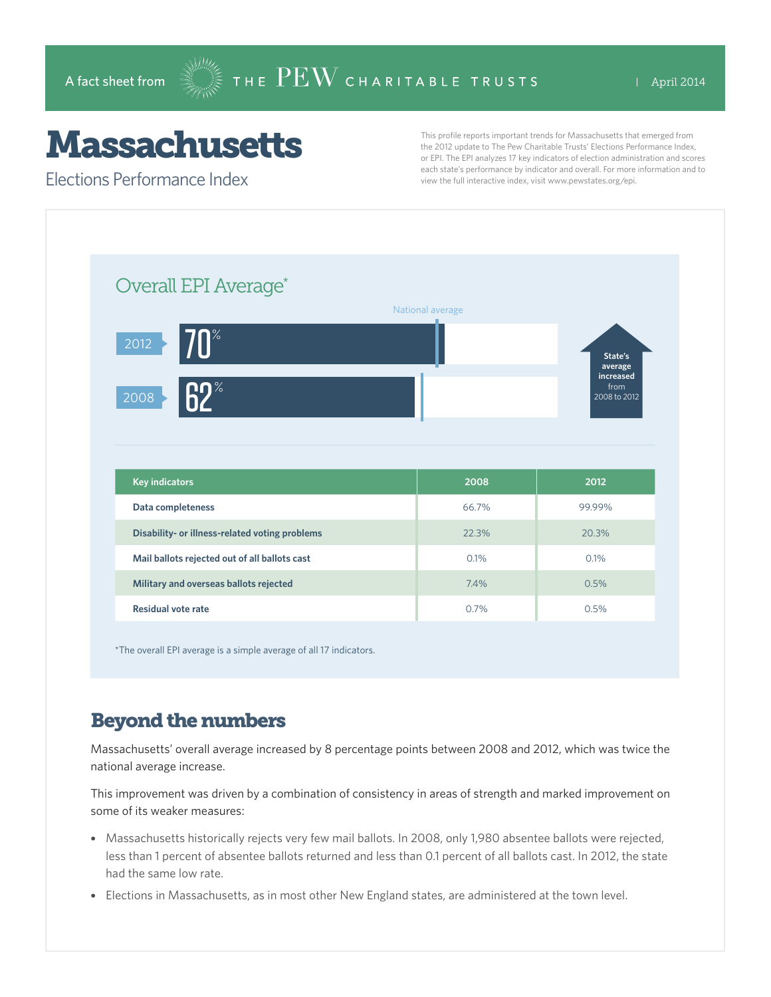## **Massachusetts**

Elections Performance Index

This profile reports important trends for Massachusetts that emerged from the 2012 update to The Pew Charitable Trusts' Elections Performance Index, or EPI. The EPI analyzes 17 key indicators of election administration and scores each state's performance by indicator and overall. For more information and to view the full interactive index, visit www.pewstates.org/epi.

| Overall EPI Average*                           | National average |                                   |
|------------------------------------------------|------------------|-----------------------------------|
| $70^\circ$<br>$\overline{2012}$                |                  | State's<br>average                |
| 62 <sup>°</sup><br>$\overline{2008}$           |                  | increased<br>from<br>2008 to 2012 |
|                                                |                  |                                   |
|                                                |                  |                                   |
| <b>Key indicators</b>                          | 2008             | 2012                              |
| Data completeness                              | 66.7%            | 99.99%                            |
| Disability- or illness-related voting problems | 22.3%            | 20.3%                             |
| Mail ballots rejected out of all ballots cast  | 0.1%             | 0.1%                              |
| Military and overseas ballots rejected         | 7.4%             | 0.5%                              |

\*The overall EPI average is a simple average of all 17 indicators.

## Beyond the numbers

Massachusetts' overall average increased by 8 percentage points between 2008 and 2012, which was twice the national average increase.

This improvement was driven by a combination of consistency in areas of strength and marked improvement on some of its weaker measures:

- Massachusetts historically rejects very few mail ballots. In 2008, only 1,980 absentee ballots were rejected, less than 1 percent of absentee ballots returned and less than 0.1 percent of all ballots cast. In 2012, the state had the same low rate.
- Elections in Massachusetts, as in most other New England states, are administered at the town level.